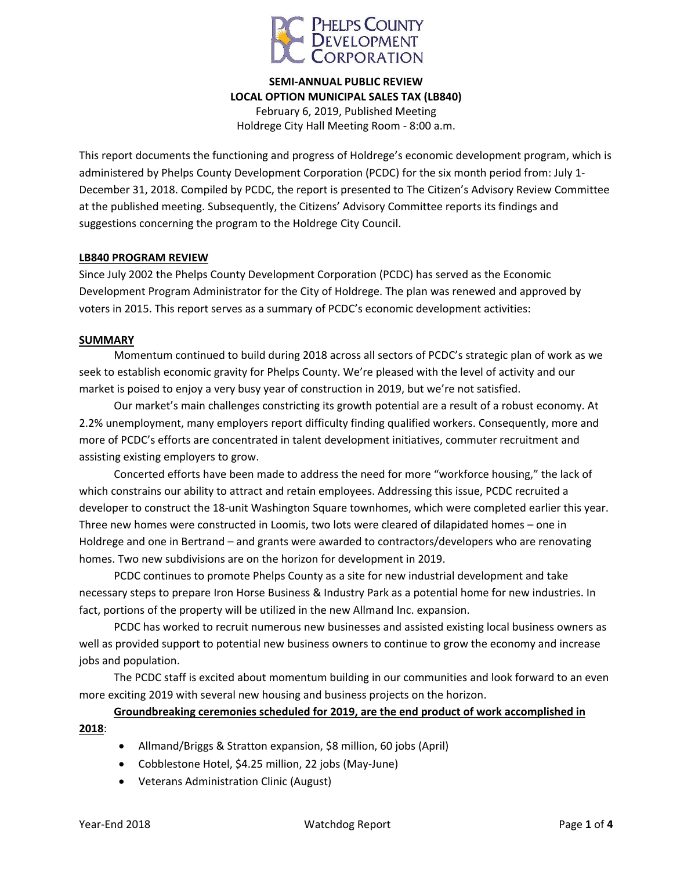

**SEMI-ANNUAL PUBLIC REVIEW LOCAL OPTION MUNICIPAL SALES TAX (LB840)** February 6, 2019, Published Meeting

Holdrege City Hall Meeting Room - 8:00 a.m.

This report documents the functioning and progress of Holdrege's economic development program, which is administered by Phelps County Development Corporation (PCDC) for the six month period from: July 1- December 31, 2018. Compiled by PCDC, the report is presented to The Citizen's Advisory Review Committee at the published meeting. Subsequently, the Citizens' Advisory Committee reports its findings and suggestions concerning the program to the Holdrege City Council.

#### **LB840 PROGRAM REVIEW**

Since July 2002 the Phelps County Development Corporation (PCDC) has served as the Economic Development Program Administrator for the City of Holdrege. The plan was renewed and approved by voters in 2015. This report serves as a summary of PCDC's economic development activities:

#### **SUMMARY**

Momentum continued to build during 2018 across all sectors of PCDC's strategic plan of work as we seek to establish economic gravity for Phelps County. We're pleased with the level of activity and our market is poised to enjoy a very busy year of construction in 2019, but we're not satisfied.

Our market's main challenges constricting its growth potential are a result of a robust economy. At 2.2% unemployment, many employers report difficulty finding qualified workers. Consequently, more and more of PCDC's efforts are concentrated in talent development initiatives, commuter recruitment and assisting existing employers to grow.

Concerted efforts have been made to address the need for more "workforce housing," the lack of which constrains our ability to attract and retain employees. Addressing this issue, PCDC recruited a developer to construct the 18-unit Washington Square townhomes, which were completed earlier this year. Three new homes were constructed in Loomis, two lots were cleared of dilapidated homes – one in Holdrege and one in Bertrand – and grants were awarded to contractors/developers who are renovating homes. Two new subdivisions are on the horizon for development in 2019.

PCDC continues to promote Phelps County as a site for new industrial development and take necessary steps to prepare Iron Horse Business & Industry Park as a potential home for new industries. In fact, portions of the property will be utilized in the new Allmand Inc. expansion.

PCDC has worked to recruit numerous new businesses and assisted existing local business owners as well as provided support to potential new business owners to continue to grow the economy and increase jobs and population.

The PCDC staff is excited about momentum building in our communities and look forward to an even more exciting 2019 with several new housing and business projects on the horizon.

**Groundbreaking ceremonies scheduled for 2019, are the end product of work accomplished in 2018**:

- Allmand/Briggs & Stratton expansion, \$8 million, 60 jobs (April)
- Cobblestone Hotel, \$4.25 million, 22 jobs (May-June)
- Veterans Administration Clinic (August)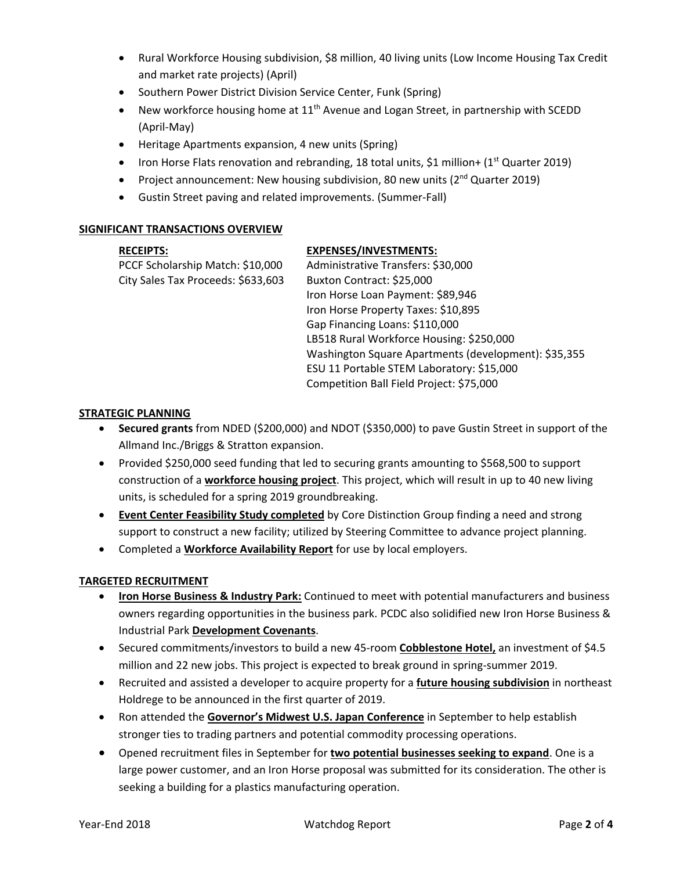- Rural Workforce Housing subdivision, \$8 million, 40 living units (Low Income Housing Tax Credit and market rate projects) (April)
- Southern Power District Division Service Center, Funk (Spring)
- New workforce housing home at  $11<sup>th</sup>$  Avenue and Logan Street, in partnership with SCEDD (April-May)
- Heritage Apartments expansion, 4 new units (Spring)
- Iron Horse Flats renovation and rebranding, 18 total units, \$1 million+ (1<sup>st</sup> Quarter 2019)
- Project announcement: New housing subdivision, 80 new units ( $2<sup>nd</sup>$  Quarter 2019)
- Gustin Street paving and related improvements. (Summer-Fall)

### **SIGNIFICANT TRANSACTIONS OVERVIEW**

### **RECEIPTS:**

PCCF Scholarship Match: \$10,000 City Sales Tax Proceeds: \$633,603

### **EXPENSES/INVESTMENTS:**

Administrative Transfers: \$30,000 Buxton Contract: \$25,000 Iron Horse Loan Payment: \$89,946 Iron Horse Property Taxes: \$10,895 Gap Financing Loans: \$110,000 LB518 Rural Workforce Housing: \$250,000 Washington Square Apartments (development): \$35,355 ESU 11 Portable STEM Laboratory: \$15,000 Competition Ball Field Project: \$75,000

## **STRATEGIC PLANNING**

- **Secured grants** from NDED (\$200,000) and NDOT (\$350,000) to pave Gustin Street in support of the Allmand Inc./Briggs & Stratton expansion.
- Provided \$250,000 seed funding that led to securing grants amounting to \$568,500 to support construction of a **workforce housing project**. This project, which will result in up to 40 new living units, is scheduled for a spring 2019 groundbreaking.
- **Event Center Feasibility Study completed** by Core Distinction Group finding a need and strong support to construct a new facility; utilized by Steering Committee to advance project planning.
- Completed a **Workforce Availability Report** for use by local employers.

## **TARGETED RECRUITMENT**

- **Iron Horse Business & Industry Park:** Continued to meet with potential manufacturers and business owners regarding opportunities in the business park. PCDC also solidified new Iron Horse Business & Industrial Park **Development Covenants**.
- Secured commitments/investors to build a new 45-room **Cobblestone Hotel,** an investment of \$4.5 million and 22 new jobs. This project is expected to break ground in spring-summer 2019.
- Recruited and assisted a developer to acquire property for a **future housing subdivision** in northeast Holdrege to be announced in the first quarter of 2019.
- Ron attended the **Governor's Midwest U.S. Japan Conference** in September to help establish stronger ties to trading partners and potential commodity processing operations.
- Opened recruitment files in September for **two potential businesses seeking to expand**. One is a large power customer, and an Iron Horse proposal was submitted for its consideration. The other is seeking a building for a plastics manufacturing operation.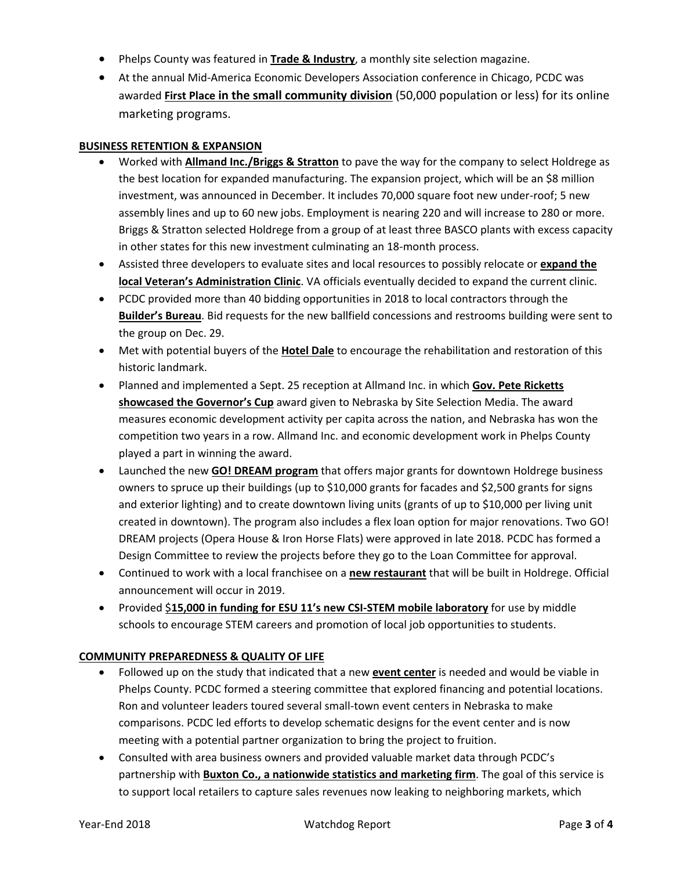- Phelps County was featured in **Trade & Industry**, a monthly site selection magazine.
- At the annual Mid-America Economic Developers Association conference in Chicago, PCDC was awarded **First Place in the small community division** (50,000 population or less) for its online marketing programs.

## **BUSINESS RETENTION & EXPANSION**

- Worked with **Allmand Inc./Briggs & Stratton** to pave the way for the company to select Holdrege as the best location for expanded manufacturing. The expansion project, which will be an \$8 million investment, was announced in December. It includes 70,000 square foot new under-roof; 5 new assembly lines and up to 60 new jobs. Employment is nearing 220 and will increase to 280 or more. Briggs & Stratton selected Holdrege from a group of at least three BASCO plants with excess capacity in other states for this new investment culminating an 18-month process.
- Assisted three developers to evaluate sites and local resources to possibly relocate or **expand the local Veteran's Administration Clinic**. VA officials eventually decided to expand the current clinic.
- PCDC provided more than 40 bidding opportunities in 2018 to local contractors through the **Builder's Bureau**. Bid requests for the new ballfield concessions and restrooms building were sent to the group on Dec. 29.
- Met with potential buyers of the **Hotel Dale** to encourage the rehabilitation and restoration of this historic landmark.
- Planned and implemented a Sept. 25 reception at Allmand Inc. in which **Gov. Pete Ricketts showcased the Governor's Cup** award given to Nebraska by Site Selection Media. The award measures economic development activity per capita across the nation, and Nebraska has won the competition two years in a row. Allmand Inc. and economic development work in Phelps County played a part in winning the award.
- Launched the new **GO! DREAM program** that offers major grants for downtown Holdrege business owners to spruce up their buildings (up to \$10,000 grants for facades and \$2,500 grants for signs and exterior lighting) and to create downtown living units (grants of up to \$10,000 per living unit created in downtown). The program also includes a flex loan option for major renovations. Two GO! DREAM projects (Opera House & Iron Horse Flats) were approved in late 2018. PCDC has formed a Design Committee to review the projects before they go to the Loan Committee for approval.
- Continued to work with a local franchisee on a **new restaurant** that will be built in Holdrege. Official announcement will occur in 2019.
- Provided \$**15,000 in funding for ESU 11's new CSI-STEM mobile laboratory** for use by middle schools to encourage STEM careers and promotion of local job opportunities to students.

### **COMMUNITY PREPAREDNESS & QUALITY OF LIFE**

- Followed up on the study that indicated that a new **event center** is needed and would be viable in Phelps County. PCDC formed a steering committee that explored financing and potential locations. Ron and volunteer leaders toured several small-town event centers in Nebraska to make comparisons. PCDC led efforts to develop schematic designs for the event center and is now meeting with a potential partner organization to bring the project to fruition.
- Consulted with area business owners and provided valuable market data through PCDC's partnership with **Buxton Co., a nationwide statistics and marketing firm**. The goal of this service is to support local retailers to capture sales revenues now leaking to neighboring markets, which